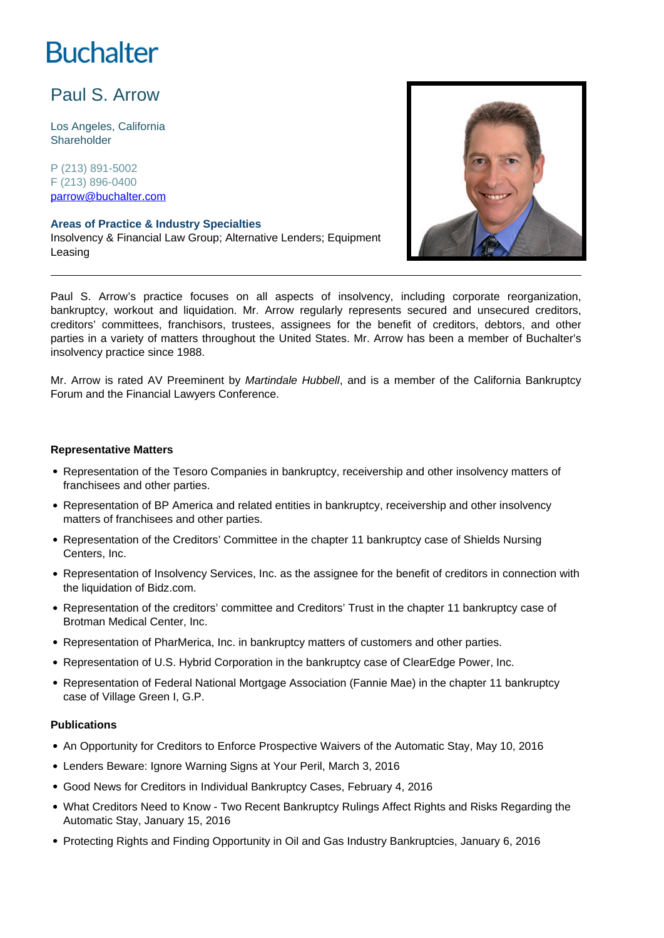# **Buchalter**

# Paul S. Arrow

Los Angeles, California **Shareholder** 

P (213) 891-5002 F (213) 896-0400 parrow@buchalter.com

#### **Areas of Practice & Industry Specialties**

Insolvency & Financial Law Group; Alternative Lenders; Equipment Leasing



Paul S. Arrow's practice focuses on all aspects of insolvency, including corporate reorganization, bankruptcy, workout and liquidation. Mr. Arrow regularly represents secured and unsecured creditors, creditors' committees, franchisors, trustees, assignees for the benefit of creditors, debtors, and other parties in a variety of matters throughout the United States. Mr. Arrow has been a member of Buchalter's insolvency practice since 1988.

Mr. Arrow is rated AV Preeminent by Martindale Hubbell, and is a member of the California Bankruptcy Forum and the Financial Lawyers Conference.

#### **Representative Matters**

- Representation of the Tesoro Companies in bankruptcy, receivership and other insolvency matters of franchisees and other parties.
- Representation of BP America and related entities in bankruptcy, receivership and other insolvency matters of franchisees and other parties.
- Representation of the Creditors' Committee in the chapter 11 bankruptcy case of Shields Nursing Centers, Inc.
- Representation of Insolvency Services, Inc. as the assignee for the benefit of creditors in connection with the liquidation of Bidz.com.
- Representation of the creditors' committee and Creditors' Trust in the chapter 11 bankruptcy case of Brotman Medical Center, Inc.
- Representation of PharMerica, Inc. in bankruptcy matters of customers and other parties.
- Representation of U.S. Hybrid Corporation in the bankruptcy case of ClearEdge Power, Inc.
- Representation of Federal National Mortgage Association (Fannie Mae) in the chapter 11 bankruptcy case of Village Green I, G.P.

#### **Publications**

- An Opportunity for Creditors to Enforce Prospective Waivers of the Automatic Stay, May 10, 2016
- Lenders Beware: Ignore Warning Signs at Your Peril, March 3, 2016
- Good News for Creditors in Individual Bankruptcy Cases, February 4, 2016
- What Creditors Need to Know Two Recent Bankruptcy Rulings Affect Rights and Risks Regarding the Automatic Stay, January 15, 2016
- Protecting Rights and Finding Opportunity in Oil and Gas Industry Bankruptcies, January 6, 2016